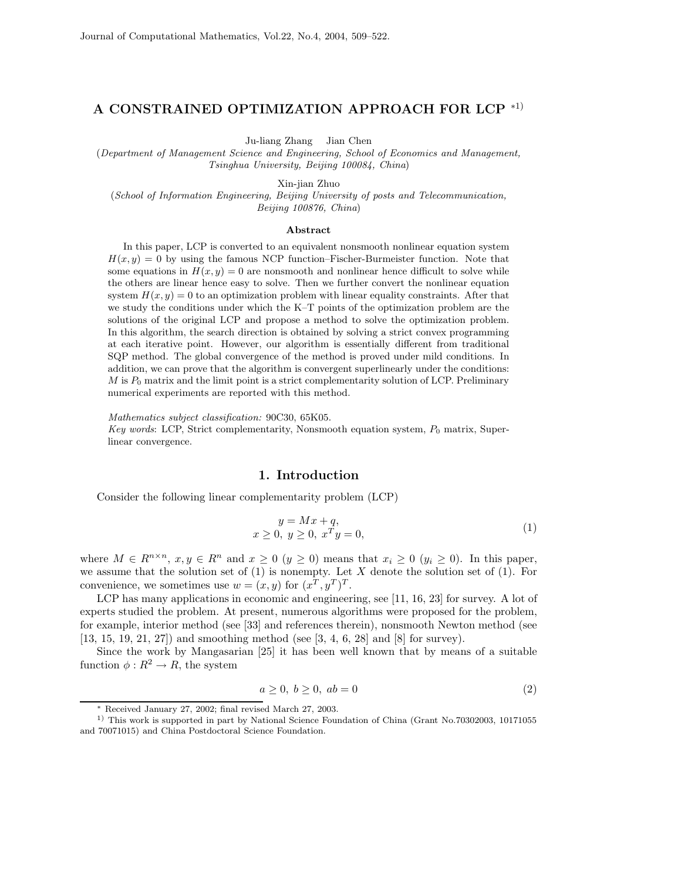## **A CONSTRAINED OPTIMIZATION APPROACH FOR LCP** <sup>∗</sup>1)

Ju-liang Zhang Jian Chen

(*Department of Management Science and Engineering, School of Economics and Management, Tsinghua University, Beijing 100084, China*)

Xin-jian Zhuo

(*School of Information Engineering, Beijing University of posts and Telecommunication, Beijing 100876, China*)

## **Abstract**

In this paper, LCP is converted to an equivalent nonsmooth nonlinear equation system  $H(x, y) = 0$  by using the famous NCP function–Fischer-Burmeister function. Note that some equations in  $H(x, y) = 0$  are nonsmooth and nonlinear hence difficult to solve while the others are linear hence easy to solve. Then we further convert the nonlinear equation system  $H(x, y) = 0$  to an optimization problem with linear equality constraints. After that we study the conditions under which the K–T points of the optimization problem are the solutions of the original LCP and propose a method to solve the optimization problem. In this algorithm, the search direction is obtained by solving a strict convex programming at each iterative point. However, our algorithm is essentially different from traditional SQP method. The global convergence of the method is proved under mild conditions. In addition, we can prove that the algorithm is convergent superlinearly under the conditions:  $M$  is  $P_0$  matrix and the limit point is a strict complementarity solution of LCP. Preliminary numerical experiments are reported with this method.

*Mathematics subject classification:* 90C30, 65K05.

*Key words*: LCP, Strict complementarity, Nonsmooth equation system,  $P_0$  matrix, Superlinear convergence.

## **1. Introduction**

Consider the following linear complementarity problem (LCP)

$$
y = Mx + q,
$$
  
\n
$$
x \ge 0, y \ge 0, xTy = 0,
$$
\n
$$
(1)
$$

where  $M \in R^{n \times n}$ ,  $x, y \in R^n$  and  $x \ge 0$   $(y \ge 0)$  means that  $x_i \ge 0$   $(y_i \ge 0)$ . In this paper, we assume that the solution set of  $(1)$  is nonempty. Let X denote the solution set of  $(1)$ . For convenience, we sometimes use  $w = (x, y)$  for  $(x^T, y^T)^T$ .

LCP has many applications in economic and engineering, see [11, 16, 23] for survey. A lot of experts studied the problem. At present, numerous algorithms were proposed for the problem, for example, interior method (see [33] and references therein), nonsmooth Newton method (see [13, 15, 19, 21, 27]) and smoothing method (see [3, 4, 6, 28] and [8] for survey).

Since the work by Mangasarian [25] it has been well known that by means of a suitable function  $\phi: R^2 \to R$ , the system

$$
a \ge 0, b \ge 0, ab = 0
$$
\n
$$
(2)
$$

<sup>∗</sup> Received January 27, 2002; final revised March 27, 2003.

<sup>&</sup>lt;sup>1)</sup> This work is supported in part by National Science Foundation of China (Grant No.70302003, 10171055) and 70071015) and China Postdoctoral Science Foundation.